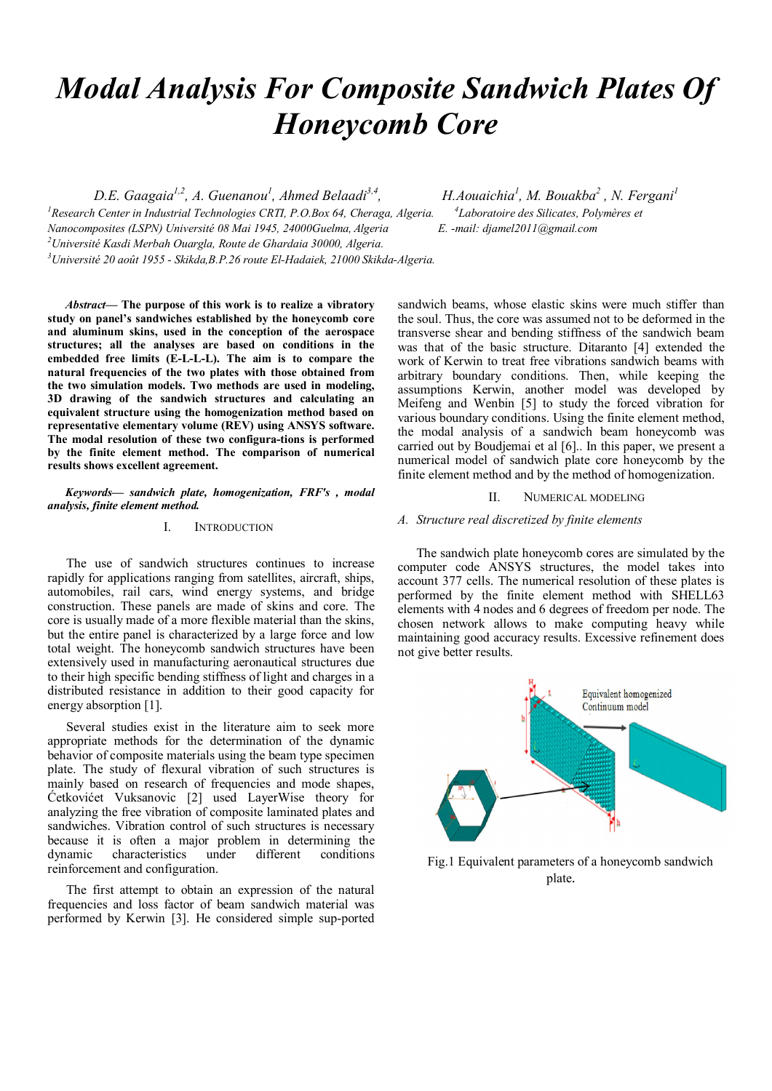# *Modal Analysis For Composite Sandwich Plates Of Honeycomb Core*

D.E. Gaagaia<sup>l,2</sup>, A. Guenanou<sup>1</sup>, Ahmed Belaadi<sup>3,4</sup>, *H.Aouaichia*<sup>1</sup>

<sup>1</sup> Research Center in Industrial Technologies CRTI, P.O.Box 64, Cheraga, Algeria. <sup>4</sup> *Nanocomposites (LSPN) Université 08 Mai 1945, 24000Guelma, Algeria E. -mail: djamel2011@gmail.com 2 Université Kasdi Merbah Ouargla, Route de Ghardaia 30000, Algeria. 3 Université 20 août 1955 - Skikda,B.P.26 route El-Hadaiek, 21000 Skikda-Algeria.* 

*, M. Bouakba2 , N. Fergani1 Laboratoire des Silicates, Polymères et* 

*Abstract*— The purpose of this work is to realize a vibratory study on panel's sandwiches established by the honeycomb core and aluminum skins, used in the conception of the aerospace structures; all the analyses are based on conditions in the embedded free limits (E-L-L-L). The aim is to compare the natural frequencies of the two plates with those obtained from the two simulation models. Two methods are used in modeling, 3D drawing of the sandwich structures and calculating an equivalent structure using the homogenization method based on representative elementary volume (REV) using ANSYS software. The modal resolution of these two configura-tions is performed by the finite element method. The comparison of numerical results shows excellent agreement.

#### *Keywords— sandwich plate, homogenization, FRF's , modal analysis, finite element method.*

### I. INTRODUCTION

The use of sandwich structures continues to increase rapidly for applications ranging from satellites, aircraft, ships, automobiles, rail cars, wind energy systems, and bridge construction. These panels are made of skins and core. The core is usually made of a more flexible material than the skins, but the entire panel is characterized by a large force and low total weight. The honeycomb sandwich structures have been extensively used in manufacturing aeronautical structures due to their high specific bending stiffness of light and charges in a distributed resistance in addition to their good capacity for energy absorption [1].

Several studies exist in the literature aim to seek more appropriate methods for the determination of the dynamic behavior of composite materials using the beam type specimen plate. The study of flexural vibration of such structures is mainly based on research of frequencies and mode shapes, Ćetkovićet Vuksanovic [2] used LayerWise theory for analyzing the free vibration of composite laminated plates and sandwiches. Vibration control of such structures is necessary because it is often a major problem in determining the dynamic characteristics under different conditions reinforcement and configuration.

The first attempt to obtain an expression of the natural frequencies and loss factor of beam sandwich material was performed by Kerwin [3]. He considered simple sup-ported

sandwich beams, whose elastic skins were much stiffer than the soul. Thus, the core was assumed not to be deformed in the transverse shear and bending stiffness of the sandwich beam was that of the basic structure. Ditaranto [4] extended the work of Kerwin to treat free vibrations sandwich beams with arbitrary boundary conditions. Then, while keeping the assumptions Kerwin, another model was developed by Meifeng and Wenbin [5] to study the forced vibration for various boundary conditions. Using the finite element method, the modal analysis of a sandwich beam honeycomb was carried out by Boudjemai et al [6].. In this paper, we present a numerical model of sandwich plate core honeycomb by the finite element method and by the method of homogenization.

II. NUMERICAL MODELING

#### *A. Structure real discretized by finite elements*

The sandwich plate honeycomb cores are simulated by the computer code ANSYS structures, the model takes into account 377 cells. The numerical resolution of these plates is performed by the finite element method with SHELL63 elements with 4 nodes and 6 degrees of freedom per node. The chosen network allows to make computing heavy while maintaining good accuracy results. Excessive refinement does not give better results.



Fig.1 Equivalent parameters of a honeycomb sandwich plate.